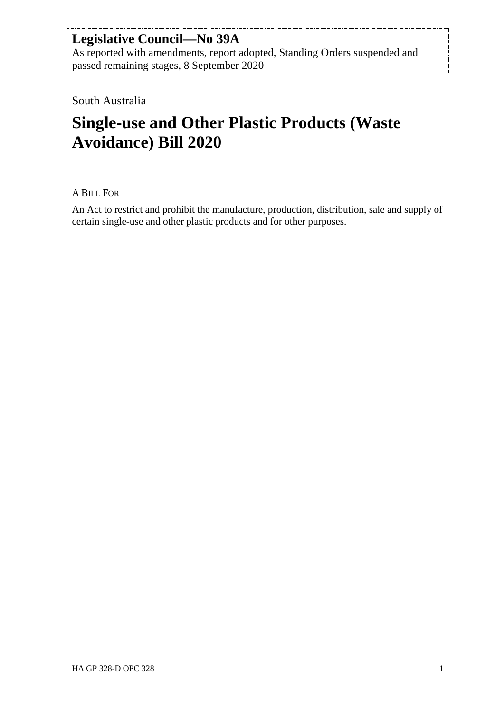# **Legislative Council—No 39A**

As reported with amendments, report adopted, Standing Orders suspended and passed remaining stages, 8 September 2020

South Australia

# **Single-use and Other Plastic Products (Waste Avoidance) Bill 2020**

A BILL FOR

An Act to restrict and prohibit the manufacture, production, distribution, sale and supply of certain single-use and other plastic products and for other purposes.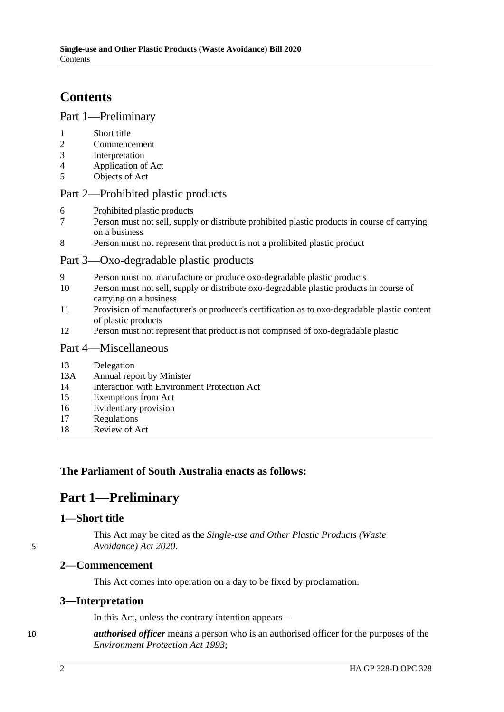# **Contents**

### Part [1—Preliminary](#page-1-0)

- 1 [Short title](#page-1-1)
- 2 [Commencement](#page-1-2)<br>3 Interpretation
- 3 [Interpretation](#page-1-3)<br>4 Application of
- 4 [Application of Act](#page-2-0)<br>5 Objects of Act
- [Objects of Act](#page-2-1)

### Part [2—Prohibited plastic products](#page-2-2)

- 6 [Prohibited plastic products](#page-2-3)<br>7 Person must not sell supply
- 7 [Person must not sell, supply or distribute prohibited plastic products in course of carrying](#page-3-0)  [on a business](#page-3-0)
- 8 [Person must not represent that product is not a prohibited plastic product](#page-4-0)

# Part [3—Oxo-degradable plastic products](#page-4-1)

- 9 [Person must not manufacture or produce oxo-degradable plastic products](#page-4-2)<br>10 Person must not sell supply or distribute oxo-degradable plastic products
- Person must not sell, supply or distribute oxo-degradable plastic products in course of [carrying on a business](#page-4-3)
- 11 [Provision of manufacturer's or producer's certification as to oxo-degradable plastic content](#page-5-0)  [of plastic products](#page-5-0)
- 12 [Person must not represent that product is not comprised of oxo-degradable plastic](#page-6-0)

### Part [4—Miscellaneous](#page-6-1)

- 13 [Delegation](#page-6-2)<br>13A Annual rep
- [Annual report by Minister](#page-6-3)
- 14 [Interaction with Environment Protection Act](#page-7-0)
- 15 [Exemptions from Act](#page-7-1)
- 16 [Evidentiary provision](#page-8-0)
- 17 [Regulations](#page-8-1)
- 18 [Review of Act](#page-8-2)

# <span id="page-1-0"></span>**The Parliament of South Australia enacts as follows:**

# **Part 1—Preliminary**

### <span id="page-1-1"></span>**1—Short title**

This Act may be cited as the *Single-use and Other Plastic Products (Waste*  5 *Avoidance) Act 2020*.

### <span id="page-1-2"></span>**2—Commencement**

This Act comes into operation on a day to be fixed by proclamation.

### <span id="page-1-3"></span>**3—Interpretation**

In this Act, unless the contrary intention appears—

10 *authorised officer* means a person who is an authorised officer for the purposes of the *[Environment Protection Act](http://www.legislation.sa.gov.au/index.aspx?action=legref&type=act&legtitle=Environment%20Protection%20Act%201993) 1993*;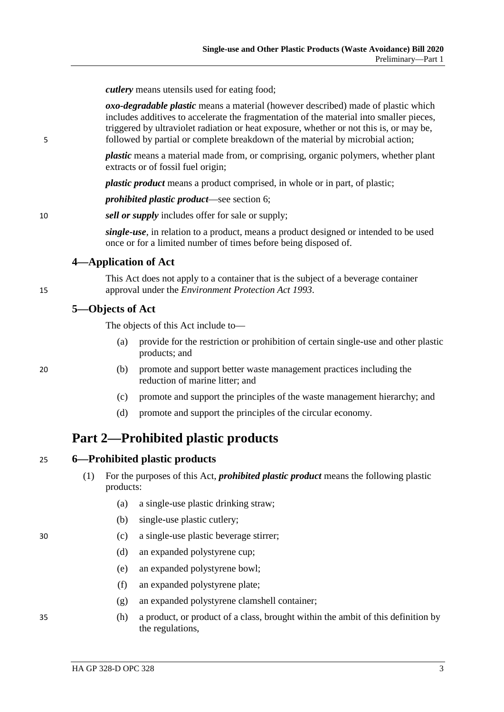*cutlery* means utensils used for eating food;

*oxo-degradable plastic* means a material (however described) made of plastic which includes additives to accelerate the fragmentation of the material into smaller pieces, triggered by ultraviolet radiation or heat exposure, whether or not this is, or may be, 5 followed by partial or complete breakdown of the material by microbial action;

> *plastic* means a material made from, or comprising, organic polymers, whether plant extracts or of fossil fuel origin;

*plastic product* means a product comprised, in whole or in part, of plastic;

*prohibited plastic product*—see [section](#page-2-3) 6;

10 *sell or supply* includes offer for sale or supply;

*single-use*, in relation to a product, means a product designed or intended to be used once or for a limited number of times before being disposed of.

### <span id="page-2-0"></span>**4—Application of Act**

This Act does not apply to a container that is the subject of a beverage container 15 approval under the *[Environment Protection Act](http://www.legislation.sa.gov.au/index.aspx?action=legref&type=act&legtitle=Environment%20Protection%20Act%201993) 1993*.

### <span id="page-2-1"></span>**5—Objects of Act**

The objects of this Act include to—

- (a) provide for the restriction or prohibition of certain single-use and other plastic products; and
- 20 (b) promote and support better waste management practices including the reduction of marine litter; and
	- (c) promote and support the principles of the waste management hierarchy; and
	- (d) promote and support the principles of the circular economy.

# <span id="page-2-3"></span><span id="page-2-2"></span>**Part 2—Prohibited plastic products**

| 25 |  |  | 6—Prohibited plastic products |
|----|--|--|-------------------------------|
|----|--|--|-------------------------------|

- (1) For the purposes of this Act, *prohibited plastic product* means the following plastic products:
	- (a) a single-use plastic drinking straw;
	- (b) single-use plastic cutlery;
- 30 (c) a single-use plastic beverage stirrer;
	- (d) an expanded polystyrene cup;
	- (e) an expanded polystyrene bowl;
	- (f) an expanded polystyrene plate;
	- (g) an expanded polystyrene clamshell container;
- 35 (h) a product, or product of a class, brought within the ambit of this definition by the regulations,
- <span id="page-2-4"></span>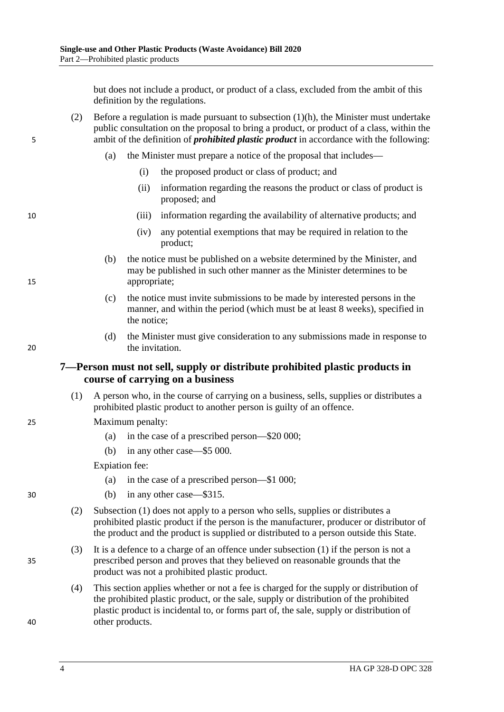but does not include a product, or product of a class, excluded from the ambit of this definition by the regulations.

- (2) Before a regulation is made pursuant to [subsection](#page-2-4) (1)(h), the Minister must undertake public consultation on the proposal to bring a product, or product of a class, within the 5 ambit of the definition of *prohibited plastic product* in accordance with the following:
	- (a) the Minister must prepare a notice of the proposal that includes—
		- (i) the proposed product or class of product; and
		- (ii) information regarding the reasons the product or class of product is proposed; and
- 10 (iii) information regarding the availability of alternative products; and
	- (iv) any potential exemptions that may be required in relation to the product;
- (b) the notice must be published on a website determined by the Minister, and may be published in such other manner as the Minister determines to be 15 appropriate;
	- (c) the notice must invite submissions to be made by interested persons in the manner, and within the period (which must be at least 8 weeks), specified in the notice;
- (d) the Minister must give consideration to any submissions made in response to 20 the invitation.

### <span id="page-3-0"></span>**7—Person must not sell, supply or distribute prohibited plastic products in course of carrying on a business**

- <span id="page-3-1"></span>(1) A person who, in the course of carrying on a business, sells, supplies or distributes a prohibited plastic product to another person is guilty of an offence.
- 25 Maximum penalty:
	- (a) in the case of a prescribed person—\$20 000;
	- (b) in any other case—\$5 000.

Expiation fee:

- (a) in the case of a prescribed person—\$1 000;
- 30 (b) in any other case—\$315.
	- (2) [Subsection](#page-3-1) (1) does not apply to a person who sells, supplies or distributes a prohibited plastic product if the person is the manufacturer, producer or distributor of the product and the product is supplied or distributed to a person outside this State.
- (3) It is a defence to a charge of an offence under [subsection](#page-3-1) (1) if the person is not a 35 prescribed person and proves that they believed on reasonable grounds that the product was not a prohibited plastic product.
- (4) This section applies whether or not a fee is charged for the supply or distribution of the prohibited plastic product, or the sale, supply or distribution of the prohibited plastic product is incidental to, or forms part of, the sale, supply or distribution of 40 other products.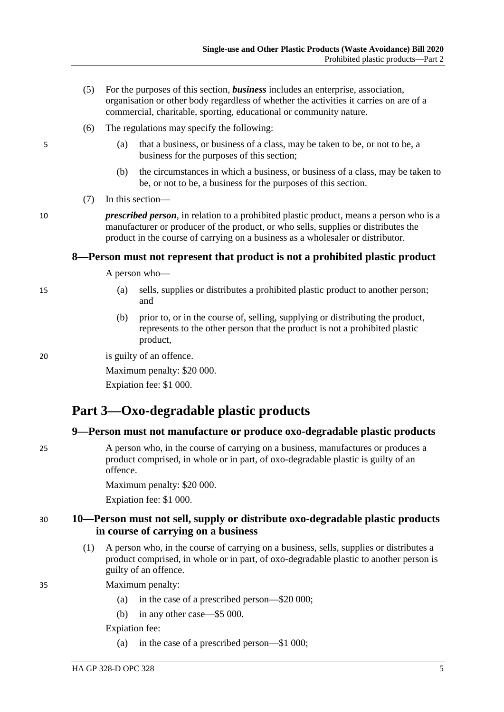- (5) For the purposes of this section, *business* includes an enterprise, association, organisation or other body regardless of whether the activities it carries on are of a commercial, charitable, sporting, educational or community nature.
- (6) The regulations may specify the following:
- 5 (a) that a business, or business of a class, may be taken to be, or not to be, a business for the purposes of this section;
	- (b) the circumstances in which a business, or business of a class, may be taken to be, or not to be, a business for the purposes of this section.
	- (7) In this section—

10 *prescribed person*, in relation to a prohibited plastic product, means a person who is a manufacturer or producer of the product, or who sells, supplies or distributes the product in the course of carrying on a business as a wholesaler or distributor.

### <span id="page-4-0"></span>**8—Person must not represent that product is not a prohibited plastic product**

A person who—

- 
- 15 (a) sells, supplies or distributes a prohibited plastic product to another person; and
	- (b) prior to, or in the course of, selling, supplying or distributing the product, represents to the other person that the product is not a prohibited plastic product,

20 is guilty of an offence.

Maximum penalty: \$20 000.

Expiation fee: \$1 000.

# <span id="page-4-1"></span>**Part 3—Oxo-degradable plastic products**

### <span id="page-4-2"></span>**9—Person must not manufacture or produce oxo-degradable plastic products**

25 A person who, in the course of carrying on a business, manufactures or produces a product comprised, in whole or in part, of oxo-degradable plastic is guilty of an offence.

Maximum penalty: \$20 000.

Expiation fee: \$1 000.

### <span id="page-4-3"></span>30 **10—Person must not sell, supply or distribute oxo-degradable plastic products in course of carrying on a business**

- <span id="page-4-4"></span>(1) A person who, in the course of carrying on a business, sells, supplies or distributes a product comprised, in whole or in part, of oxo-degradable plastic to another person is guilty of an offence.
- 35 Maximum penalty:
	- (a) in the case of a prescribed person—\$20 000;
	- (b) in any other case—\$5 000.

Expiation fee:

(a) in the case of a prescribed person—\$1 000;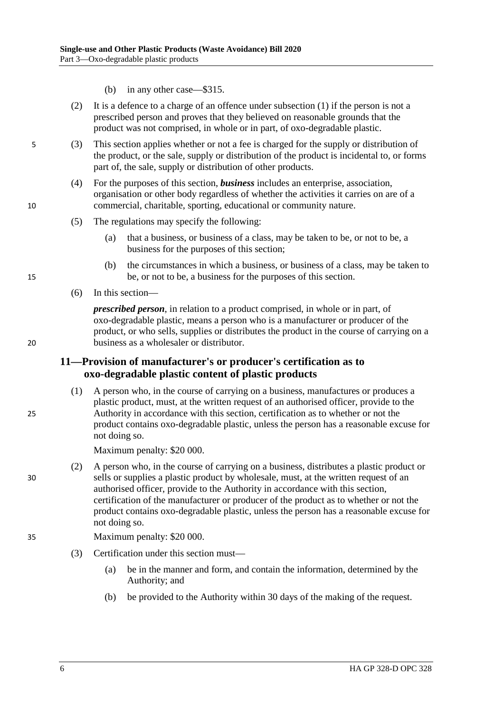- (b) in any other case—\$315.
- (2) It is a defence to a charge of an offence under [subsection](#page-4-4) (1) if the person is not a prescribed person and proves that they believed on reasonable grounds that the product was not comprised, in whole or in part, of oxo-degradable plastic.
- 5 (3) This section applies whether or not a fee is charged for the supply or distribution of the product, or the sale, supply or distribution of the product is incidental to, or forms part of, the sale, supply or distribution of other products.
- (4) For the purposes of this section, *business* includes an enterprise, association, organisation or other body regardless of whether the activities it carries on are of a 10 commercial, charitable, sporting, educational or community nature.
	- (5) The regulations may specify the following:
		- (a) that a business, or business of a class, may be taken to be, or not to be, a business for the purposes of this section;
- (b) the circumstances in which a business, or business of a class, may be taken to 15 be, or not to be, a business for the purposes of this section.
	- (6) In this section—

*prescribed person*, in relation to a product comprised, in whole or in part, of oxo-degradable plastic, means a person who is a manufacturer or producer of the product, or who sells, supplies or distributes the product in the course of carrying on a 20 business as a wholesaler or distributor.

### <span id="page-5-0"></span>**11—Provision of manufacturer's or producer's certification as to oxo-degradable plastic content of plastic products**

(1) A person who, in the course of carrying on a business, manufactures or produces a plastic product, must, at the written request of an authorised officer, provide to the 25 Authority in accordance with this section, certification as to whether or not the product contains oxo-degradable plastic, unless the person has a reasonable excuse for not doing so.

Maximum penalty: \$20 000.

(2) A person who, in the course of carrying on a business, distributes a plastic product or 30 sells or supplies a plastic product by wholesale, must, at the written request of an authorised officer, provide to the Authority in accordance with this section, certification of the manufacturer or producer of the product as to whether or not the product contains oxo-degradable plastic, unless the person has a reasonable excuse for not doing so.

#### 35 Maximum penalty: \$20 000.

- (3) Certification under this section must—
	- (a) be in the manner and form, and contain the information, determined by the Authority; and
	- (b) be provided to the Authority within 30 days of the making of the request.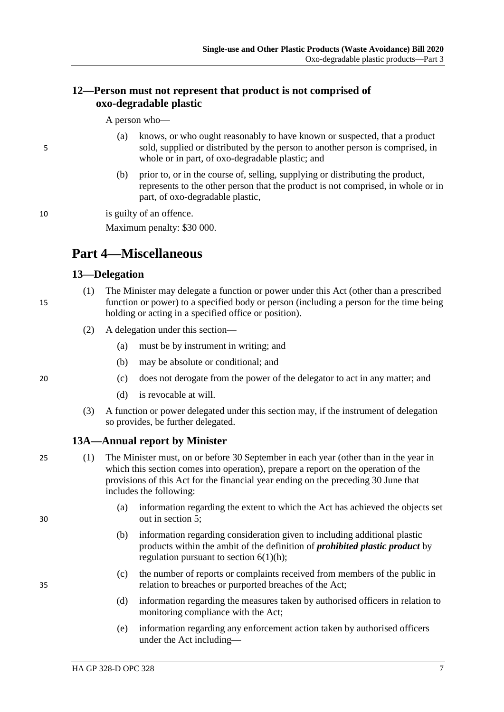### <span id="page-6-0"></span>**12—Person must not represent that product is not comprised of oxo-degradable plastic**

A person who—

- (a) knows, or who ought reasonably to have known or suspected, that a product 5 sold, supplied or distributed by the person to another person is comprised, in whole or in part, of oxo-degradable plastic; and
	- (b) prior to, or in the course of, selling, supplying or distributing the product, represents to the other person that the product is not comprised, in whole or in part, of oxo-degradable plastic,

10 is guilty of an offence.

Maximum penalty: \$30 000.

# <span id="page-6-1"></span>**Part 4—Miscellaneous**

### <span id="page-6-2"></span>**13—Delegation**

- (1) The Minister may delegate a function or power under this Act (other than a prescribed 15 function or power) to a specified body or person (including a person for the time being holding or acting in a specified office or position).
	- (2) A delegation under this section—
		- (a) must be by instrument in writing; and
		- (b) may be absolute or conditional; and

- 20 (c) does not derogate from the power of the delegator to act in any matter; and
	- (d) is revocable at will.
	- (3) A function or power delegated under this section may, if the instrument of delegation so provides, be further delegated.

# <span id="page-6-4"></span><span id="page-6-3"></span>**13A—Annual report by Minister**

- 25 (1) The Minister must, on or before 30 September in each year (other than in the year in which this section comes into operation), prepare a report on the operation of the provisions of this Act for the financial year ending on the preceding 30 June that includes the following:
- (a) information regarding the extent to which the Act has achieved the objects set 30 out in [section](#page-2-1) 5;
	- (b) information regarding consideration given to including additional plastic products within the ambit of the definition of *prohibited plastic product* by regulation pursuant to section  $6(1)(h)$ ;
- (c) the number of reports or complaints received from members of the public in 35 relation to breaches or purported breaches of the Act;
	- (d) information regarding the measures taken by authorised officers in relation to monitoring compliance with the Act;
	- (e) information regarding any enforcement action taken by authorised officers under the Act including—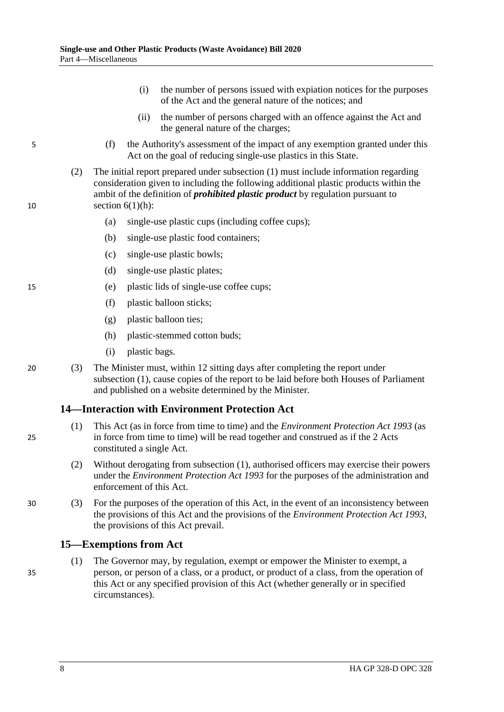- (i) the number of persons issued with expiation notices for the purposes of the Act and the general nature of the notices; and
- (ii) the number of persons charged with an offence against the Act and the general nature of the charges;
- 5 (f) the Authority's assessment of the impact of any exemption granted under this Act on the goal of reducing single-use plastics in this State.
- (2) The initial report prepared under [subsection](#page-6-4) (1) must include information regarding consideration given to including the following additional plastic products within the ambit of the definition of *prohibited plastic product* by regulation pursuant to 10 section [6\(1\)\(h\):](#page-2-4)
	- (a) single-use plastic cups (including coffee cups);
	- (b) single-use plastic food containers;
	- (c) single-use plastic bowls;
	- (d) single-use plastic plates;
- 15 (e) plastic lids of single-use coffee cups;
	- (f) plastic balloon sticks;
	- (g) plastic balloon ties;
	- (h) plastic-stemmed cotton buds;
	- (i) plastic bags.
- 20 (3) The Minister must, within 12 sitting days after completing the report under [subsection](#page-6-4) (1), cause copies of the report to be laid before both Houses of Parliament and published on a website determined by the Minister.

#### <span id="page-7-2"></span><span id="page-7-0"></span>**14—Interaction with Environment Protection Act**

- (1) This Act (as in force from time to time) and the *[Environment Protection Act](http://www.legislation.sa.gov.au/index.aspx?action=legref&type=act&legtitle=Environment%20Protection%20Act%201993) 1993* (as 25 in force from time to time) will be read together and construed as if the 2 Acts constituted a single Act.
	- (2) Without derogating from [subsection](#page-7-2) (1), authorised officers may exercise their powers under the *[Environment Protection Act](http://www.legislation.sa.gov.au/index.aspx?action=legref&type=act&legtitle=Environment%20Protection%20Act%201993) 1993* for the purposes of the administration and enforcement of this Act.
- 30 (3) For the purposes of the operation of this Act, in the event of an inconsistency between the provisions of this Act and the provisions of the *[Environment Protection Act](http://www.legislation.sa.gov.au/index.aspx?action=legref&type=act&legtitle=Environment%20Protection%20Act%201993) 1993*, the provisions of this Act prevail.

#### <span id="page-7-3"></span><span id="page-7-1"></span>**15—Exemptions from Act**

(1) The Governor may, by regulation, exempt or empower the Minister to exempt, a 35 person, or person of a class, or a product, or product of a class, from the operation of this Act or any specified provision of this Act (whether generally or in specified circumstances).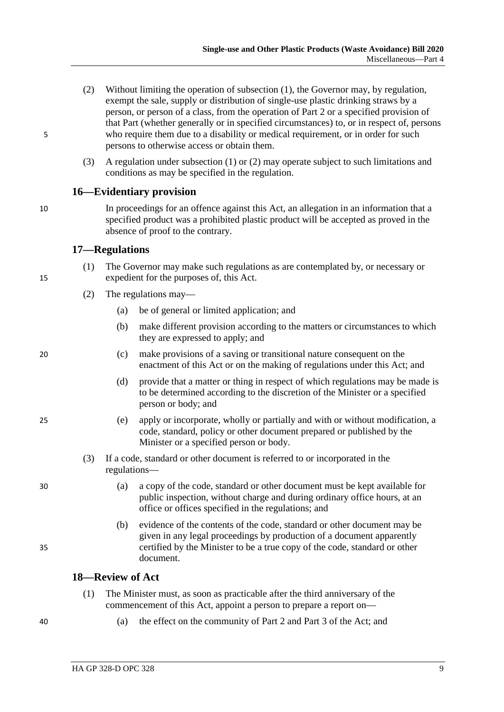- <span id="page-8-3"></span>(2) Without limiting the operation of [subsection](#page-7-3) (1), the Governor may, by regulation, exempt the sale, supply or distribution of single-use plastic drinking straws by a person, or person of a class, from the operation of [Part](#page-2-2) 2 or a specified provision of that Part (whether generally or in specified circumstances) to, or in respect of, persons 5 who require them due to a disability or medical requirement, or in order for such persons to otherwise access or obtain them.
	- (3) A regulation under [subsection](#page-7-3) (1) or [\(2\)](#page-8-3) may operate subject to such limitations and conditions as may be specified in the regulation.

### <span id="page-8-0"></span>**16—Evidentiary provision**

10 In proceedings for an offence against this Act, an allegation in an information that a specified product was a prohibited plastic product will be accepted as proved in the absence of proof to the contrary.

### <span id="page-8-1"></span>**17—Regulations**

- (1) The Governor may make such regulations as are contemplated by, or necessary or 15 expedient for the purposes of, this Act.
	- (2) The regulations may—
		- (a) be of general or limited application; and
		- (b) make different provision according to the matters or circumstances to which they are expressed to apply; and
- 20 (c) make provisions of a saving or transitional nature consequent on the enactment of this Act or on the making of regulations under this Act; and
	- (d) provide that a matter or thing in respect of which regulations may be made is to be determined according to the discretion of the Minister or a specified person or body; and
- 25 (e) apply or incorporate, wholly or partially and with or without modification, a code, standard, policy or other document prepared or published by the Minister or a specified person or body.
	- (3) If a code, standard or other document is referred to or incorporated in the regulations—
- 30 (a) a copy of the code, standard or other document must be kept available for public inspection, without charge and during ordinary office hours, at an office or offices specified in the regulations; and
- (b) evidence of the contents of the code, standard or other document may be given in any legal proceedings by production of a document apparently 35 certified by the Minister to be a true copy of the code, standard or other document.

#### <span id="page-8-2"></span>**18—Review of Act**

- (1) The Minister must, as soon as practicable after the third anniversary of the commencement of this Act, appoint a person to prepare a report on—
- 
- 40 (a) the effect on the community of [Part](#page-2-2) 2 and [Part](#page-4-1) 3 of the Act; and